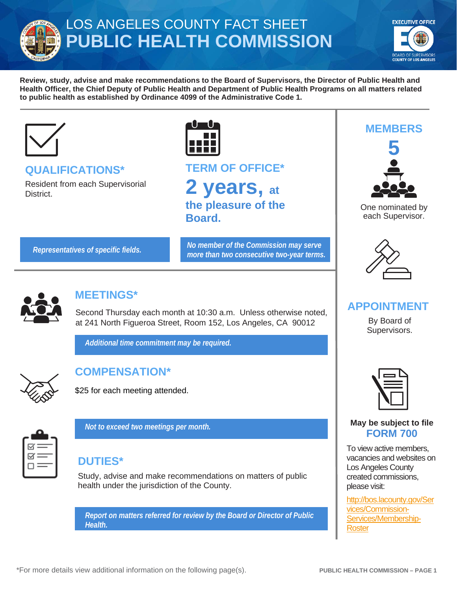

# LOS ANGELES COUNTY FACT SHEET **PUBLIC HEALTH COMMISSION**



**Review, study, advise and make recommendations to the Board of Supervisors, the Director of Public Health and Health Officer, the Chief Deputy of Public Health and Department of Public Health Programs on all matters related to public health as established by Ordinance 4099 of the Administrative Code 1.** 



### **QUALIFICATIONS\***

Resident from each Supervisorial District.



# **TERM OF OFFICE\* 2 years, at the pleasure of the Board.**

*Representatives of specific fields. No member of the Commission may serve more than two consecutive two-year terms.*



### **MEETINGS\***

Second Thursday each month at 10:30 a.m. Unless otherwise noted, at 241 North Figueroa Street, Room 152, Los Angeles, CA 90012

*Additional time commitment may be required.*



# **COMPENSATION\***

\$25 for each meeting attended.

*Not to exceed two meetings per month.*



### **DUTIES\***

Study, advise and make recommendations on matters of public health under the jurisdiction of the County.

*Report on matters referred for review by the Board or Director of Public Health.* 





One nominated by each Supervisor.



### **APPOINTMENT**

By Board of Supervisors.



#### **May be subject to file FORM 700**

To view active members, vacancies and websites on Los Angeles County created commissions, please visit:

[http://bos.lacounty.gov/Ser](http://bos.lacounty.gov/Services/Commission-Services/Membership-Roster) [vices/Commission-](http://bos.lacounty.gov/Services/Commission-Services/Membership-Roster)[Services/Membership-](http://bos.lacounty.gov/Services/Commission-Services/Membership-Roster)**[Roster](http://bos.lacounty.gov/Services/Commission-Services/Membership-Roster)**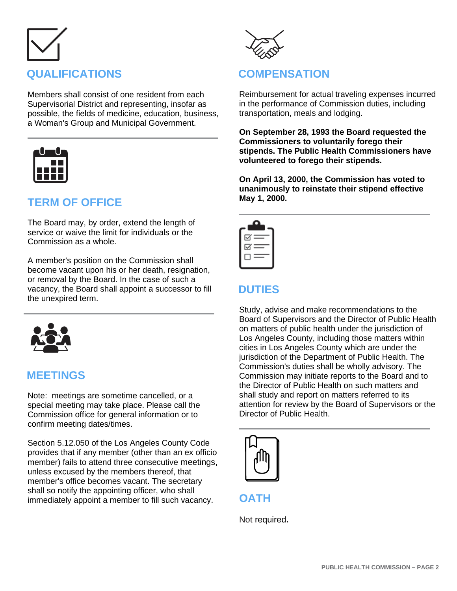# **QUALIFICATIONS**

Members shall consist of one resident from each Supervisorial District and representing, insofar as possible, the fields of medicine, education, business, a Woman's Group and Municipal Government.



## **TERM OF OFFICE**

The Board may, by order, extend the length of service or waive the limit for individuals or the Commission as a whole.

A member's position on the Commission shall become vacant upon his or her death, resignation, or removal by the Board. In the case of such a vacancy, the Board shall appoint a successor to fill the unexpired term.



### **MEETINGS**

Note: meetings are sometime cancelled, or a special meeting may take place. Please call the Commission office for general information or to confirm meeting dates/times.

Section 5.12.050 of the Los Angeles County Code provides that if any member (other than an ex officio member) fails to attend three consecutive meetings, unless excused by the members thereof, that member's office becomes vacant. The secretary shall so notify the appointing officer, who shall immediately appoint a member to fill such vacancy.



### **COMPENSATION**

Reimbursement for actual traveling expenses incurred in the performance of Commission duties, including transportation, meals and lodging.

**On September 28, 1993 the Board requested the Commissioners to voluntarily forego their stipends. The Public Health Commissioners have volunteered to forego their stipends.**

**On April 13, 2000, the Commission has voted to unanimously to reinstate their stipend effective May 1, 2000.**

| $\preceq$ $=$ |
|---------------|
| $\boxdot$     |
| -             |
|               |

### **DUTIES**

Study, advise and make recommendations to the Board of Supervisors and the Director of Public Health on matters of public health under the jurisdiction of Los Angeles County, including those matters within cities in Los Angeles County which are under the jurisdiction of the Department of Public Health. The Commission's duties shall be wholly advisory. The Commission may initiate reports to the Board and to the Director of Public Health on such matters and shall study and report on matters referred to its attention for review by the Board of Supervisors or the Director of Public Health.



**OATH**

Not required**.**